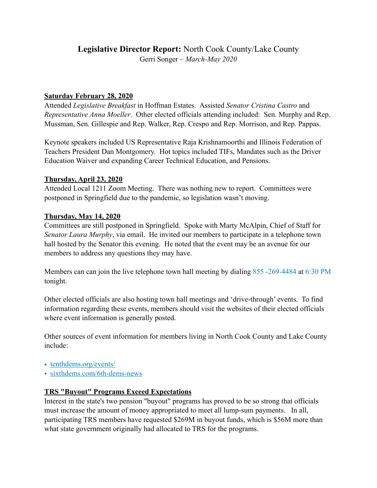# **Legislative Director Report:** North Cook County/Lake County Gerri Songer – *March-May 2020*

## **Saturday February 28, 2020**

Attended *Legislative Breakfast* in Hoffman Estates. Assisted *Senator Cristina Castro* and *Representative Anna Moeller*. Other elected officials attending included: Sen. Murphy and Rep. Mussman, Sen. Gillespie and Rep. Walker, Rep. Crespo and Rep. Morrison, and Rep. Pappas.

Keynote speakers included US Representative Raja Krishnamoorthi and Illinois Federation of Teachers President Dan Montgomery. Hot topics included TIFs, Mandates such as the Driver Education Waiver and expanding Career Technical Education, and Pensions.

### **Thursday, April 23, 2020**

Attended Local 1211 Zoom Meeting. There was nothing new to report. Committees were postponed in Springfield due to the pandemic, so legislation wasn't moving.

### **Thursday, May 14, 2020**

Committees are still postponed in Springfield. Spoke with Marty McAlpin, Chief of Staff for *Senator Laura Murphy*, via email. He invited our members to participate in a telephone town hall hosted by the Senator this evening. He noted that the event may be an avenue for our members to address any questions they may have.

Members can can join the live telephone town hall meeting by dialing 855 -269-4484 at 6:30 PM tonight.

Other elected officials are also hosting town hall meetings and 'drive-through' events. To find information regarding these events, members should visit the websites of their elected officials where event information is generally posted.

Other sources of event information for members living in North Cook County and Lake County include:

- [tenthdems.org/events/](http://tenthdems.org/events/)
- [sixthdems.com/6th-dems-news](http://sixthdems.com/6th-dems-news)

#### **TRS "Buyout" Programs Exceed Expectations**

Interest in the state's two pension "buyout" programs has proved to be so strong that officials must increase the amount of money appropriated to meet all lump-sum payments. In all, participating TRS members have requested \$269M in buyout funds, which is \$56M more than what state government originally had allocated to TRS for the programs.